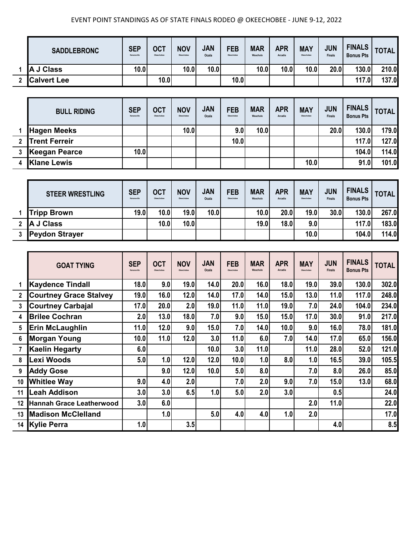## EVENT POINT STANDINGS AS OF STATE FINALS RODEO @ OKEECHOBEE - JUNE 9-12, 2022

| <b>SADDLEBRONC</b> | <b>SEP</b><br>Kenansville | OCT<br>Okeechobee | <b>NOV</b><br>Okeechobee | <b>JAN</b><br>Ocala | <b>FEB</b><br>Okeechobee | <b>MAR</b><br>Wauchula | <b>APR</b><br>Arcadia | <b>MAY</b><br>Okeechobee | JUN<br><b>Finals</b> | <b>FINALS</b><br><b>Bonus Pts</b> | <b>TOTAL</b> |
|--------------------|---------------------------|-------------------|--------------------------|---------------------|--------------------------|------------------------|-----------------------|--------------------------|----------------------|-----------------------------------|--------------|
| A J Class          | 10.0                      |                   | 10.0                     | 10.0                |                          | 10.0                   | 10.0                  | 10.0                     | 20.0                 | 130.0                             | 210.0        |
| <b>Calvert Lee</b> |                           | 10.0              |                          |                     | 10.0                     |                        |                       |                          |                      | 117.0                             | 137.0        |

|   | <b>BULL RIDING</b>   | <b>SEP</b><br>Kenansville | <b>OCT</b><br>Okeechobee | <b>NOV</b><br>Okeechobee | <b>JAN</b><br>Ocala | <b>FEB</b><br>Okeechobee | <b>MAR</b><br>Wauchula | <b>APR</b><br>Arcadia | <b>MAY</b><br>Okeechobee | <b>JUN</b><br><b>Finals</b> | <b>FINALS</b><br><b>Bonus Pts</b> | <b>TOTAL</b> |
|---|----------------------|---------------------------|--------------------------|--------------------------|---------------------|--------------------------|------------------------|-----------------------|--------------------------|-----------------------------|-----------------------------------|--------------|
|   | <b>Hagen Meeks</b>   |                           |                          | 10.0                     |                     | 9.0                      | 10.0                   |                       |                          | 20.0                        | 130.0                             | 179.0        |
| 2 | <b>Trent Ferreir</b> |                           |                          |                          |                     | 10.0                     |                        |                       |                          |                             | 117.0                             | 127.0        |
|   | Keegan Pearce        | 10.0                      |                          |                          |                     |                          |                        |                       |                          |                             | 104.0                             | 114.0        |
|   | <b>Klane Lewis</b>   |                           |                          |                          |                     |                          |                        |                       | 10.0                     |                             | 91.0                              | 101.0        |

| <b>STEER WRESTLING</b> | <b>SEP</b><br>Kenansville | OCT<br>Okeechobee | <b>NOV</b><br>Okeechobee | <b>JAN</b><br>Ocala | <b>FEB</b><br>Okeechobee | <b>MAR</b><br>Wauchula | <b>APR</b><br>Arcadia | <b>MAY</b><br>Okeechobee | <b>JUN</b><br><b>Finals</b> | <b>FINALS</b><br><b>Bonus Pts</b> | <b>TOTAL</b> |
|------------------------|---------------------------|-------------------|--------------------------|---------------------|--------------------------|------------------------|-----------------------|--------------------------|-----------------------------|-----------------------------------|--------------|
| <b>Tripp Brown</b>     | 19.0                      | 10.0              | 19.0                     | 10.0                |                          | 10.0                   | 20.0                  | 19.0                     | 30.0                        | 130.0                             | 267.0        |
| A J Class              |                           | 10.0              | 10.0                     |                     |                          | 19.0                   | 18.0                  | 9.0                      |                             | 117.0                             | 183.0        |
| <b>Peydon Strayer</b>  |                           |                   |                          |                     |                          |                        |                       | 10.0                     |                             | 104.0                             | 114.0        |

|                | <b>GOAT TYING</b>             | <b>SEP</b><br>Kenansville | <b>OCT</b><br>Okeechobee | <b>NOV</b><br>Okeechober | <b>JAN</b><br>Ocala | <b>FEB</b><br>Okeechobee | <b>MAR</b><br>Wauchula | <b>APR</b><br>Arcadia | <b>MAY</b><br>Okeechobee | <b>JUN</b><br><b>Finals</b> | <b>FINALS</b><br><b>Bonus Pts</b> | <b>TOTAL</b> |
|----------------|-------------------------------|---------------------------|--------------------------|--------------------------|---------------------|--------------------------|------------------------|-----------------------|--------------------------|-----------------------------|-----------------------------------|--------------|
|                | <b>Kaydence Tindall</b>       | 18.0                      | 9.0                      | 19.0                     | 14.0                | 20.0                     | 16.0                   | 18.0                  | 19.0                     | 39.0                        | 130.0                             | 302.0        |
| $\overline{2}$ | <b>Courtney Grace Stalvey</b> | 19.0                      | 16.0                     | 12.0                     | 14.0                | 17.0                     | 14.0                   | 15.0                  | 13.0                     | 11.0                        | 117.0                             | 248.0        |
| 3              | <b>Courtney Carbajal</b>      | 17.0                      | 20.0                     | 2.0                      | 19.0                | 11.0                     | 11.0                   | 19.0                  | 7.0                      | 24.0                        | 104.0                             | 234.0        |
| 4              | <b>Brilee Cochran</b>         | 2.0                       | 13.0                     | 18.0                     | 7.0                 | 9.0                      | 15.0                   | 15.0                  | 17.0                     | 30.0                        | 91.0                              | 217.0        |
| 5              | <b>Erin McLaughlin</b>        | 11.0                      | 12.0                     | 9.0                      | 15.0                | 7.0                      | 14.0                   | 10.0                  | 9.0                      | 16.0                        | 78.0                              | 181.0        |
| 6              | <b>Morgan Young</b>           | 10.0                      | 11.0                     | 12.0                     | 3.0                 | 11.0                     | 6.0                    | 7.0                   | 14.0                     | 17.0                        | 65.0                              | 156.0        |
|                | <b>Kaelin Hegarty</b>         | 6.0                       |                          |                          | 10.0                | 3.0                      | 11.0                   |                       | 11.0                     | 28.0                        | 52.0                              | 121.0        |
| 8              | Lexi Woods                    | 5.0                       | 1.0                      | 12.0                     | 12.0                | 10.0                     | 1.0                    | 8.0                   | 1.0                      | 16.5                        | 39.0                              | 105.5        |
| 9              | <b>Addy Gose</b>              |                           | 9.0                      | 12.0                     | 10.0                | 5.0                      | 8.0                    |                       | 7.0                      | 8.0                         | 26.0                              | 85.0         |
| 10             | <b>Whitlee Way</b>            | 9.0                       | 4.0                      | 2.0                      |                     | 7.0                      | 2.0                    | 9.0                   | 7.0                      | 15.0                        | 13.0                              | 68.0         |
| 11             | <b>Leah Addison</b>           | 3.0                       | 3.0                      | 6.5                      | 1.0                 | 5.0                      | 2.0                    | 3.0                   |                          | 0.5                         |                                   | 24.0         |
| 12             | Hannah Grace Leatherwood      | 3.0                       | 6.0                      |                          |                     |                          |                        |                       | 2.0                      | 11.0                        |                                   | 22.0         |
| 13             | <b>Madison McClelland</b>     |                           | 1.0                      |                          | 5.0                 | 4.0                      | 4.0                    | 1.0                   | 2.0                      |                             |                                   | 17.0         |
|                | 14 Kylie Perra                | 1.0                       |                          | 3.5                      |                     |                          |                        |                       |                          | 4.0                         |                                   | 8.5          |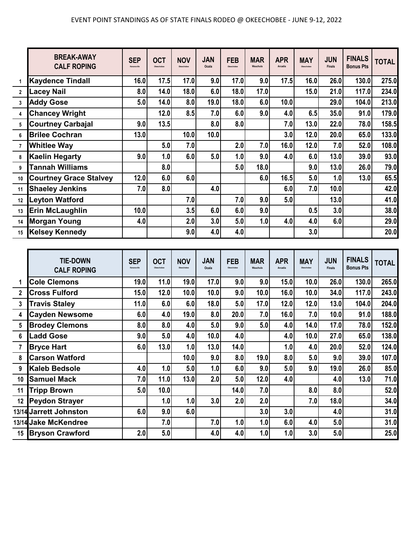|                | <b>BREAK-AWAY</b><br><b>CALF ROPING</b> | <b>SEP</b><br>Kenansville | <b>OCT</b>    | <b>NOV</b> | <b>JAN</b><br>Ocala | <b>FEB</b>               | <b>MAR</b><br>Wauchula | <b>APR</b><br>Arcadia | <b>MAY</b><br>Okeechobee | <b>JUN</b><br><b>Finals</b> | <b>FINALS</b><br><b>Bonus Pts</b> | <b>TOTAL</b>                                                             |
|----------------|-----------------------------------------|---------------------------|---------------|------------|---------------------|--------------------------|------------------------|-----------------------|--------------------------|-----------------------------|-----------------------------------|--------------------------------------------------------------------------|
| 1              | <b>Kaydence Tindall</b>                 | 16.0                      | 17.5          | 17.0       | 9.0                 | 17.0                     | 9.0                    | 17.5                  | 16.0                     | 26.0                        | 130.0                             | 275.0                                                                    |
| $\mathbf{2}$   | <b>Lacey Nail</b>                       | 8.0                       | 14.0          | 18.0       | 6.0                 | 18.0                     | 17.0                   |                       | 15.0                     | 21.0                        | 117.0                             | 234.0                                                                    |
| 3              | <b>Addy Gose</b>                        | 5.0                       | 14.0          | 8.0        | 19.0                | 18.0                     | 6.0                    | 10.0                  |                          | 29.0                        | 104.0                             | 213.0                                                                    |
| 4              | <b>Chancey Wright</b>                   |                           | 12.0          | 8.5        | 7.0                 | 6.0                      | 9.0                    | 4.0                   | 6.5                      | 35.0                        | 91.0                              | 179.0                                                                    |
| 5              | <b>Courtney Carbajal</b>                | 9.0                       | 13.5          |            | 8.0                 | 8.0                      |                        | 7.0                   | 13.0                     | 22.0                        | 78.0                              | 158.5                                                                    |
| 6              | <b>Brilee Cochran</b>                   | 13.0                      |               | 10.0       | 10.0                |                          |                        | 3.0                   | 12.0                     | 20.0                        | 65.0                              | 133.0                                                                    |
| $\overline{7}$ | <b>Whitlee Way</b>                      |                           | 5.0           | 7.0        |                     | 2.0                      | 7.0                    | 16.0                  | 12.0                     | 7.0                         | 52.0                              | 108.0                                                                    |
| 8              | <b>Kaelin Hegarty</b>                   | 9.0                       | 1.0           | 6.0        | 5.0                 | 1.0                      | 9.0                    | 4.0                   | 6.0                      | 13.0                        | 39.0                              | 93.0                                                                     |
| 9              | <b>Tannah Williams</b>                  |                           | 8.0           |            |                     | 5.0                      | 18.0                   |                       | 9.0                      | 13.0                        | 26.0                              | 79.0                                                                     |
| 10             | <b>Courtney Grace Stalvey</b>           | 12.0                      | 6.0           | 6.0        |                     |                          | 6.0                    | 16.5                  | 5.0                      | 1.0                         | 13.0                              | 65.5                                                                     |
| 11             | <b>Shaeley Jenkins</b>                  | 7.0                       | 8.0           |            | 4.0                 |                          |                        | 6.0                   | 7.0                      | 10.0                        |                                   | 42.0                                                                     |
| 12             | <b>Leyton Watford</b>                   |                           |               | 7.0        |                     | 7.0                      | 9.0                    | 5.0                   |                          | 13.0                        |                                   | 41.0                                                                     |
| 13             | Erin McLaughlin                         | 10.0                      |               | 3.5        | 6.0                 | 6.0                      | 9.0                    |                       | 0.5                      | 3.0                         |                                   | 38.0                                                                     |
| 14             | <b>Morgan Young</b>                     | 4.0                       |               | 2.0        | 3.0                 | 5.0                      | 1.0                    | 4.0                   | 4.0                      | 6.0                         |                                   | 29.0                                                                     |
| 15             | <b>Kelsey Kennedy</b>                   |                           |               | 9.0        | 4.0                 | 4.0                      |                        |                       | 3.0                      |                             |                                   | 20.0                                                                     |
|                |                                         |                           |               |            |                     |                          |                        |                       |                          |                             |                                   |                                                                          |
|                | <b>TIE-DOWN</b><br><b>CALF ROPING</b>   | <b>SEP</b><br>Kenansville | <b>OCT</b>    | <b>NOV</b> | <b>JAN</b><br>Ocala | <b>FEB</b><br>Okeechobee | <b>MAR</b><br>Wauchula | <b>APR</b><br>Arcadia | <b>MAY</b><br>Okeechober | <b>JUN</b><br><b>Finals</b> | <b>FINALS</b><br><b>Bonus Pts</b> | <b>TOTAL</b>                                                             |
| 1              | <b>Cole Clemons</b>                     | 19.0                      | 11.0          | 19.0       | 17.0                | 9.0                      | 9.0                    | 15.0                  | 10.0                     | 26.0                        | 130.0                             | 265.0                                                                    |
|                | - 10                                    | $1 - 2$                   | $\sim$ $\sim$ | أمدد       | $\overline{10}$     | $\sim$ $\sim$            | $\overline{10}$        | $\overline{100}$      | $\sqrt{2}$               | . <b>.</b>                  | 1172                              | $\begin{array}{ccc}\n\bullet & \bullet & \bullet & \bullet\n\end{array}$ |

|    | <b>COIL CIRTIONS</b>   | 19.V | 1 I .V | 19.U | 17.U | ນ.∪∣ | ิ ม.บ | 10.UI | IV.VI | 20.UI | 190.U | Z03.U |
|----|------------------------|------|--------|------|------|------|-------|-------|-------|-------|-------|-------|
|    | <b>Cross Fulford</b>   | 15.0 | 12.0   | 10.0 | 10.0 | 9.0  | 10.0  | 16.0  | 10.0  | 34.0  | 117.0 | 243.0 |
|    | <b>Travis Staley</b>   | 11.0 | 6.0    | 6.0  | 18.0 | 5.0  | 17.0  | 12.0  | 12.0  | 13.0  | 104.0 | 204.0 |
|    | <b>Cayden Newsome</b>  | 6.0  | 4.0    | 19.0 | 8.0  | 20.0 | 7.0   | 16.0  | 7.0   | 10.0  | 91.0  | 188.0 |
|    | <b>Brodey Clemons</b>  | 8.0  | 8.0    | 4.0  | 5.0  | 9.0  | 5.0   | 4.0   | 14.0  | 17.0  | 78.0  | 152.0 |
| 6  | <b>Ladd Gose</b>       | 9.0  | 5.0    | 4.0  | 10.0 | 4.0  |       | 4.0   | 10.0  | 27.0  | 65.0  | 138.0 |
|    | <b>Bryce Hart</b>      | 6.0  | 13.0   | 1.0  | 13.0 | 14.0 |       | 1.0   | 4.0   | 20.0  | 52.0  | 124.0 |
|    | <b>Carson Watford</b>  |      |        | 10.0 | 9.0  | 8.0  | 19.0  | 8.0   | 5.0   | 9.0   | 39.0  | 107.0 |
| 9  | <b>Kaleb Bedsole</b>   | 4.0  | 1.0    | 5.0  | 1.0  | 6.0  | 9.0   | 5.0   | 9.0   | 19.0  | 26.0  | 85.0  |
| 10 | <b>Samuel Mack</b>     | 7.0  | 11.0   | 13.0 | 2.0  | 5.0  | 12.0  | 4.0   |       | 4.0   | 13.0  | 71.0  |
| 11 | <b>Tripp Brown</b>     | 5.0  | 10.0   |      |      | 14.0 | 7.0   |       | 8.0   | 8.0   |       | 52.0  |
| 12 | <b>Peydon Strayer</b>  |      | 1.0    | 1.0  | 3.0  | 2.0  | 2.0   |       | 7.0   | 18.0  |       | 34.0  |
|    | 13/14 Jarrett Johnston | 6.0  | 9.0    | 6.0  |      |      | 3.0   | 3.0   |       | 4.0   |       | 31.0  |
|    | 13/14 Jake McKendree   |      | 7.0    |      | 7.0  | 1.0  | 1.0   | 6.0   | 4.0   | 5.0   |       | 31.0  |
|    | 15 Bryson Crawford     | 2.0  | 5.0    |      | 4.0  | 4.0  | 1.0   | 1.0   | 3.0   | 5.0   |       | 25.0  |
|    |                        |      |        |      |      |      |       |       |       |       |       |       |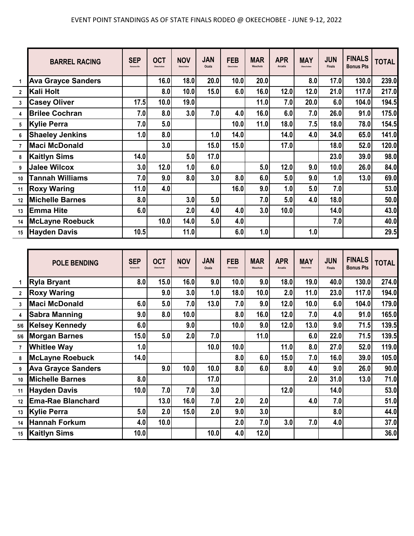|                | <b>BARREL RACING</b>      | <b>SEP</b><br>Kenansville | <b>OCT</b><br>Okeechobee | <b>NOV</b><br>Okeechobee | <b>JAN</b><br>Ocala | <b>FEB</b><br>Okeechobee | <b>MAR</b><br>Wauchula | <b>APR</b><br>Arcadia | <b>MAY</b><br>Okeechobee | <b>JUN</b><br><b>Finals</b> | <b>FINALS</b><br><b>Bonus Pts</b> | <b>TOTAL</b> |
|----------------|---------------------------|---------------------------|--------------------------|--------------------------|---------------------|--------------------------|------------------------|-----------------------|--------------------------|-----------------------------|-----------------------------------|--------------|
|                | <b>Ava Grayce Sanders</b> |                           | 16.0                     | 18.0                     | 20.0                | 10.0                     | 20.0                   |                       | 8.0                      | 17.0                        | 130.0                             | 239.0        |
| $\overline{2}$ | Kali Holt                 |                           | 8.0                      | 10.0                     | 15.0                | 6.0                      | 16.0                   | 12.0                  | 12.0                     | 21.0                        | 117.0                             | 217.0        |
| 3              | <b>Casey Oliver</b>       | 17.5                      | 10.0                     | 19.0                     |                     |                          | 11.0                   | 7.0                   | 20.0                     | 6.0                         | 104.0                             | 194.5        |
| 4              | <b>Brilee Cochran</b>     | 7.0                       | 8.0                      | 3.0                      | 7.0                 | 4.0                      | 16.0                   | 6.0                   | 7.0                      | 26.0                        | 91.0                              | 175.0        |
| 5              | <b>Kylie Perra</b>        | 7.0                       | 5.0                      |                          |                     | 10.0                     | 11.0                   | 18.0                  | 7.5                      | 18.0                        | 78.0                              | 154.5        |
| 6              | <b>Shaeley Jenkins</b>    | 1.0                       | 8.0                      |                          | 1.0                 | 14.0                     |                        | 14.0                  | 4.0                      | 34.0                        | 65.0                              | 141.0        |
| $\overline{7}$ | <b>Maci McDonald</b>      |                           | 3.0                      |                          | 15.0                | 15.0                     |                        | 17.0                  |                          | 18.0                        | 52.0                              | 120.0        |
| 8              | <b>Kaitlyn Sims</b>       | 14.0                      |                          | 5.0                      | 17.0                |                          |                        |                       |                          | 23.0                        | 39.0                              | 98.0         |
| 9              | <b>Jalee Wilcox</b>       | 3.0                       | 12.0                     | 1.0                      | 6.0                 |                          | 5.0                    | 12.0                  | 9.0                      | 10.0                        | 26.0                              | 84.0         |
| 10             | <b>Tannah Williams</b>    | 7.0                       | 9.0                      | 8.0                      | 3.0                 | 8.0                      | 6.0                    | 5.0                   | 9.0                      | 1.0                         | 13.0                              | 69.0         |
| 11             | <b>Roxy Waring</b>        | 11.0                      | 4.0                      |                          |                     | 16.0                     | 9.0                    | 1.0                   | 5.0                      | 7.0                         |                                   | 53.0         |
| 12             | <b>Michelle Barnes</b>    | 8.0                       |                          | 3.0                      | 5.0                 |                          | 7.0                    | 5.0                   | 4.0                      | 18.0                        |                                   | 50.0         |
| 13             | <b>Emma Hite</b>          | 6.0                       |                          | 2.0                      | 4.0                 | 4.0                      | 3.0                    | 10.0                  |                          | 14.0                        |                                   | 43.0         |
| 14             | <b>McLayne Roebuck</b>    |                           | 10.0                     | 14.0                     | 5.0                 | 4.0                      |                        |                       |                          | 7.0                         |                                   | 40.0         |
| 15             | <b>Hayden Davis</b>       | 10.5                      |                          | 11.0                     |                     | 6.0                      | 1.0                    |                       | 1.0                      |                             |                                   | 29.5         |

|                | <b>POLE BENDING</b>       | <b>SEP</b><br>Kenansville | <b>OCT</b><br>Okeechobee | <b>NOV</b><br>Okeechobee | <b>JAN</b><br>Ocala | <b>FEB</b><br>Okeechobee | <b>MAR</b><br>Wauchula | <b>APR</b><br>Arcadia | <b>MAY</b><br>Okeechobee | <b>JUN</b><br><b>Finals</b> | <b>FINALS</b><br><b>Bonus Pts</b> | <b>TOTAL</b> |
|----------------|---------------------------|---------------------------|--------------------------|--------------------------|---------------------|--------------------------|------------------------|-----------------------|--------------------------|-----------------------------|-----------------------------------|--------------|
|                | <b>Ryla Bryant</b>        | 8.0                       | 15.0                     | 16.0                     | 9.0                 | 10.0                     | 9.0                    | 18.0                  | 19.0                     | 40.0                        | 130.0                             | 274.0        |
| $\overline{2}$ | <b>Roxy Waring</b>        |                           | 9.0                      | 3.0                      | 1.0                 | 18.0                     | 10.0                   | 2.0                   | 11.0                     | 23.0                        | 117.0                             | 194.0        |
| 3              | <b>Maci McDonald</b>      | 6.0                       | 5.0                      | 7.0                      | 13.0                | 7.0                      | 9.0                    | 12.0                  | 10.0                     | 6.0                         | 104.0                             | 179.0        |
| 4              | <b>Sabra Manning</b>      | 9.0                       | 8.0                      | 10.0                     |                     | 8.0                      | 16.0                   | 12.0                  | 7.0                      | 4.0                         | 91.0                              | 165.0        |
| 5/6            | <b>Kelsey Kennedy</b>     | 6.0                       |                          | 9.0                      |                     | 10.0                     | 9.0                    | 12.0                  | 13.0                     | 9.0                         | 71.5                              | 139.5        |
| 5/6            | <b>Morgan Barnes</b>      | 15.0                      | 5.0                      | 2.0                      | 7.0                 |                          | 11.0                   |                       | 6.0                      | 22.0                        | 71.5                              | 139.5        |
| $\overline{7}$ | <b>Whitlee Way</b>        | 1.0                       |                          |                          | 10.0                | 10.0                     |                        | 11.0                  | 8.0                      | 27.0                        | 52.0                              | 119.0        |
| 8              | <b>McLayne Roebuck</b>    | 14.0                      |                          |                          |                     | 8.0                      | 6.0                    | 15.0                  | 7.0                      | 16.0                        | 39.0                              | 105.0        |
| 9              | <b>Ava Grayce Sanders</b> |                           | 9.0                      | 10.0                     | 10.0                | 8.0                      | 6.0                    | 8.0                   | 4.0                      | 9.0                         | 26.0                              | 90.0         |
| 10             | <b>Michelle Barnes</b>    | 8.0                       |                          |                          | 17.0                |                          |                        |                       | 2.0                      | 31.0                        | 13.0                              | 71.0         |
| 11             | <b>Hayden Davis</b>       | 10.0                      | 7.0                      | 7.0                      | 3.0                 |                          |                        | 12.0                  |                          | 14.0                        |                                   | 53.0         |
| 12             | <b>Ema-Rae Blanchard</b>  |                           | 13.0                     | 16.0                     | 7.0                 | 2.0                      | 2.0                    |                       | 4.0                      | 7.0                         |                                   | 51.0         |
| 13             | Kylie Perra               | 5.0                       | 2.0                      | 15.0                     | 2.0                 | 9.0                      | 3.0                    |                       |                          | 8.0                         |                                   | 44.0         |
| 14             | <b>Hannah Forkum</b>      | 4.0                       | 10.0                     |                          |                     | 2.0                      | 7.0                    | 3.0                   | 7.0                      | 4.0                         |                                   | 37.0         |
| 15             | <b>Kaitlyn Sims</b>       | 10.0                      |                          |                          | 10.0                | 4.0                      | 12.0                   |                       |                          |                             |                                   | 36.0         |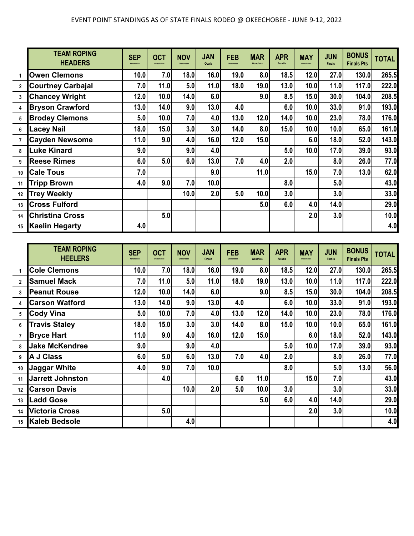|                 | <b>TEAM ROPING</b><br><b>HEADERS</b> | <b>SEP</b><br>Kenansville | <b>OCT</b><br>Okeechober | <b>NOV</b><br>Okeechobee | <b>JAN</b><br>Ocala | <b>FEB</b><br>Okeechobee | <b>MAR</b><br>Wauchula | <b>APR</b><br>Arcadia | <b>MAY</b><br>Okeechober | <b>JUN</b><br><b>Finals</b> | <b>BONUS</b><br><b>Finals Pts</b> | <b>TOTAL</b>                                       |
|-----------------|--------------------------------------|---------------------------|--------------------------|--------------------------|---------------------|--------------------------|------------------------|-----------------------|--------------------------|-----------------------------|-----------------------------------|----------------------------------------------------|
| 1               | <b>Owen Clemons</b>                  | 10.0                      | 7.0                      | 18.0                     | 16.0                | 19.0                     | 8.0                    | 18.5                  | 12.0                     | 27.0                        | 130.0                             | 265.5                                              |
| $\mathbf{2}$    | <b>Courtney Carbajal</b>             | 7.0                       | 11.0                     | 5.0                      | 11.0                | 18.0                     | 19.0                   | 13.0                  | 10.0                     | 11.0                        | 117.0                             | 222.0                                              |
| 3               | <b>Chancey Wright</b>                | 12.0                      | 10.0                     | 14.0                     | 6.0                 |                          | 9.0                    | 8.5                   | 15.0                     | 30.0                        | 104.0                             | 208.5                                              |
| 4               | <b>Bryson Crawford</b>               | 13.0                      | 14.0                     | 9.0                      | 13.0                | 4.0                      |                        | 6.0                   | 10.0                     | 33.0                        | 91.0                              | 193.0                                              |
| 5               | <b>Brodey Clemons</b>                | 5.0                       | 10.0                     | 7.0                      | 4.0                 | $13.0$                   | 12.0                   | 14.0                  | 10.0                     | 23.0                        | 78.0                              | 176.0                                              |
| 6               | <b>Lacey Nail</b>                    | 18.0                      | 15.0                     | 3.0                      | 3.0                 | 14.0                     | 8.0                    | 15.0                  | 10.0                     | 10.0                        | 65.0                              | 161.0                                              |
| 7               | <b>Cayden Newsome</b>                | 11.0                      | 9.0                      | 4.0                      | 16.0                | 12.0                     | 15.0                   |                       | 6.0                      | 18.0                        | 52.0                              | 143.0                                              |
| 8               | <b>Luke Kinard</b>                   | 9.0                       |                          | 9.0                      | 4.0                 |                          |                        | 5.0                   | 10.0                     | 17.0                        | 39.0                              | 93.0                                               |
| 9               | <b>Reese Rimes</b>                   | 6.0                       | 5.0                      | 6.0                      | 13.0                | 7.0                      | 4.0                    | 2.0                   |                          | 8.0                         | 26.0                              | 77.0                                               |
| 10              | <b>Cale Tous</b>                     | 7.0                       |                          |                          | 9.0                 |                          | 11.0                   |                       | 15.0                     | 7.0                         | 13.0                              | 62.0                                               |
| 11              | <b>Tripp Brown</b>                   | 4.0                       | 9.0                      | 7.0                      | 10.0                |                          |                        | 8.0                   |                          | 5.0                         |                                   | 43.0                                               |
| 12              | <b>Trey Weekly</b>                   |                           |                          | 10.0                     | 2.0                 | 5.0                      | 10.0                   | 3.0                   |                          | 3.0                         |                                   | 33.0                                               |
| 13              | <b>Cross Fulford</b>                 |                           |                          |                          |                     |                          | 5.0                    | 6.0                   | 4.0                      | 14.0                        |                                   | 29.0                                               |
| 14              | <b>Christina Cross</b>               |                           | 5.0                      |                          |                     |                          |                        |                       | 2.0                      | 3.0                         |                                   | 10.0                                               |
| 15              | <b>Kaelin Hegarty</b>                | 4.0                       |                          |                          |                     |                          |                        |                       |                          |                             |                                   | 4.0                                                |
|                 |                                      |                           |                          |                          |                     |                          |                        |                       |                          |                             |                                   |                                                    |
|                 |                                      |                           |                          |                          |                     |                          |                        |                       |                          |                             |                                   |                                                    |
|                 | <b>TEAM ROPING</b><br><b>HEELERS</b> | <b>SEP</b><br>Kenansville | <b>OCT</b><br>Okeechobee | <b>NOV</b><br>Okeechobee | <b>JAN</b><br>Ocala | <b>FEB</b><br>Okeechobee | <b>MAR</b><br>Wauchula | <b>APR</b><br>Arcadia | <b>MAY</b><br>Okeechobee | <b>JUN</b><br><b>Finals</b> | <b>BONUS</b><br><b>Finals Pts</b> | <b>TOTAL</b>                                       |
| 1               | <b>Cole Clemons</b>                  | 10.0                      | 7.0                      | 18.0                     | 16.0                | 19.0                     | 8.0                    | 18.5                  | 12.0                     | 27.0                        | 130.0                             |                                                    |
| $\mathbf{2}$    | <b>Samuel Mack</b>                   | 7.0                       | 11.0                     | 5.0                      | 11.0                | 18.0                     | 19.0                   | 13.0                  | 10.0                     | 11.0                        | 117.0                             |                                                    |
| 3               | <b>Peanut Rouse</b>                  | 12.0                      | 10.0                     | 14.0                     | 6.0                 |                          | 9.0                    | 8.5                   | 15.0                     | 30.0                        | 104.0                             |                                                    |
| 4               | <b>Carson Watford</b>                | 13.0                      | 14.0                     | 9.0                      | 13.0                | 4.0                      |                        | 6.0                   | 10.0                     | 33.0                        | 91.0                              |                                                    |
| 5               | <b>Cody Vina</b>                     | 5.0                       | 10.0                     | 7.0                      | 4.0                 | 13.0                     | 12.0                   | 14.0                  | 10.0                     | 23.0                        | 78.0                              |                                                    |
| 6               | <b>Travis Staley</b>                 | 18.0                      | 15.0                     | 3.0                      | 3.0                 | 14.0                     | 8.0                    | 15.0                  | 10.0                     | 10.0                        | 65.0                              | 265.5<br>222.0<br>208.5<br>193.0<br>176.0<br>161.0 |
| $\overline{1}$  | <b>Bryce Hart</b>                    | 11.0                      | 9.0                      | 4.0                      | 16.0                | 12.0                     | 15.0                   |                       | 6.0                      | 18.0                        | 52.0                              | 143.0                                              |
| 8               | <b>Jake McKendree</b>                | 9.0                       |                          | 9.0                      | 4.0                 |                          |                        | 5.0                   | 10.0                     | 17.0                        | 39.0                              |                                                    |
| 9               | <b>A J Class</b>                     | 6.0                       | 5.0                      | 6.0                      | 13.0                | 7.0                      | 4.0                    | 2.0                   |                          | 8.0                         | 26.0                              |                                                    |
|                 | 10 Jaggar White                      | 4.0                       | 9.0                      | 7.0                      | 10.0                |                          |                        | 8.0                   |                          | 5.0                         | 13.0                              |                                                    |
| 11              | <b>Jarrett Johnston</b>              |                           | 4.0                      |                          |                     | 6.0                      | 11.0                   |                       | 15.0                     | 7.0                         |                                   |                                                    |
| 12 <sub>1</sub> | <b>Carson Davis</b>                  |                           |                          | 10.0                     | 2.0                 | 5.0                      | 10.0                   | 3.0                   |                          | 3.0                         |                                   | 93.0<br>77.0<br>56.0<br>43.0<br>33.0               |
| 13 <sup>1</sup> | <b>Ladd Gose</b>                     |                           |                          |                          |                     |                          | 5.0                    | 6.0                   | 4.0                      | 14.0                        |                                   | 29.0                                               |

**15 Kaleb Bedsole 4.0 4.0**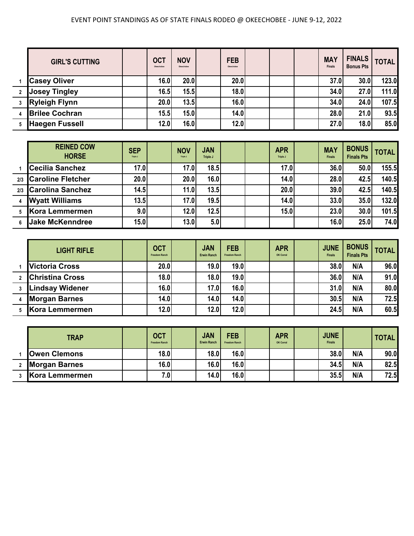## EVENT POINT STANDINGS AS OF STATE FINALS RODEO @ OKEECHOBEE - JUNE 9-12, 2022

|              | <b>GIRL'S CUTTING</b> | <b>OCT</b><br>Okeechobee | <b>NOV</b><br>Okeechobee | <b>FEB</b><br>Okeechobee |  | <b>MAY</b><br><b>Finals</b> | <b>FINALS</b><br><b>Bonus Pts</b> | <b>TOTAL</b> |
|--------------|-----------------------|--------------------------|--------------------------|--------------------------|--|-----------------------------|-----------------------------------|--------------|
|              | <b>Casey Oliver</b>   | 16.0                     | 20.0                     | 20.0                     |  | 37.0                        | 30.0                              | 123.0        |
| $\mathbf{2}$ | <b>Josey Tingley</b>  | 16.5                     | 15.5                     | 18.0                     |  | 34.0                        | 27.0                              | 111.0        |
|              | <b>Ryleigh Flynn</b>  | 20.0                     | 13.5                     | 16.0                     |  | 34.0                        | 24.0                              | 107.5        |
| 4            | <b>Brilee Cochran</b> | 15.5                     | 15.0                     | 14.0                     |  | 28.0                        | 21.0                              | 93.5         |
| 5            | <b>Haegen Fussell</b> | 12.0                     | 16.0                     | 12.0                     |  | 27.0                        | 18.0                              | 85.0         |

| <b>REINED COW</b><br><b>HORSE</b> | <b>SEP</b><br>Triple J | <b>NOV</b><br>Triple J | <b>JAN</b><br><b>Triple J</b> |  | <b>APR</b><br>Triple J | <b>MAY</b><br><b>Finals</b> | <b>BONUS</b><br><b>Finals Pts</b> | <b>TOTAL</b> |
|-----------------------------------|------------------------|------------------------|-------------------------------|--|------------------------|-----------------------------|-----------------------------------|--------------|
| <b>Cecilia Sanchez</b>            | 17.0                   | 17.0                   | 18.5                          |  | 17.0                   | 36.0                        | 50.0                              | 155.5        |
| 2/3 Caroline Fletcher             | 20.0                   | 20.0                   | 16.0                          |  | 14.0                   | 28.0                        | 42.5                              | 140.5        |
| 2/3 Carolina Sanchez              | 14.5                   | 11.0                   | 13.5                          |  | 20.0                   | 39.0                        | 42.5                              | 140.5        |
| <b>Wyatt Williams</b>             | 13.5                   | 17.0                   | 19.5                          |  | 14.0                   | 33.0                        | 35.0                              | 132.0        |
| Kora Lemmermen                    | 9.0                    | 12.0                   | 12.5                          |  | 15.0                   | 23.0                        | 30.0                              | 101.5        |
| <b>Jake McKenndree</b>            | 15.0                   | 13.0                   | 5.0                           |  |                        | 16.0                        | 25.0                              | 74.0         |

|   | <b>LIGHT RIFLE</b>     | <b>OCT</b><br><b>Freedom Ranch</b> | <b>JAN</b><br><b>Erwin Ranch</b> | <b>FEB</b><br><b>Freedom Ranch</b> | <b>APR</b><br>OK Corral | <b>JUNE</b><br><b>Finals</b> | <b>BONUS</b><br><b>Finals Pts</b> | <b>TOTAL</b> |
|---|------------------------|------------------------------------|----------------------------------|------------------------------------|-------------------------|------------------------------|-----------------------------------|--------------|
|   | <b>Victoria Cross</b>  | 20.0                               | 19.0                             | 19.0                               |                         | 38.0                         | N/A                               | 96.0         |
|   | <b>Christina Cross</b> | 18.0                               | 18.0                             | 19.0                               |                         | 36.0                         | N/A                               | 91.0         |
|   | <b>Lindsay Widener</b> | 16.0                               | 17.0                             | 16.0                               |                         | 31.0                         | N/A                               | 80.0         |
| 4 | <b>Morgan Barnes</b>   | 14.0                               | 14.0                             | 14.0                               |                         | 30.5                         | N/A                               | 72.5         |
|   | Kora Lemmermen         | 12.0                               | 12.0                             | 12.0                               |                         | 24.5                         | N/A                               | 60.5         |

| <b>TRAP</b>          | <b>OCT</b><br><b>Freedom Ranch</b> | <b>JAN</b><br><b>Erwin Ranch</b> | <b>FEB</b><br><b>Freedom Ranch</b> | <b>APR</b><br>OK Corral | <b>JUNE</b><br><b>Finals</b> |     | TOTAL, |
|----------------------|------------------------------------|----------------------------------|------------------------------------|-------------------------|------------------------------|-----|--------|
| <b>Owen Clemons</b>  | <b>18.0</b>                        | <b>18.0</b>                      | 16.0                               |                         | 38.0                         | N/A | 90.0   |
| <b>Morgan Barnes</b> | 16.0                               | 16.0                             | 16.0                               |                         | 34.5                         | N/A | 82.5   |
| Kora Lemmermen       | 7.0                                | 14.0                             | 16.0                               |                         | 35.5                         | N/A | 72.5   |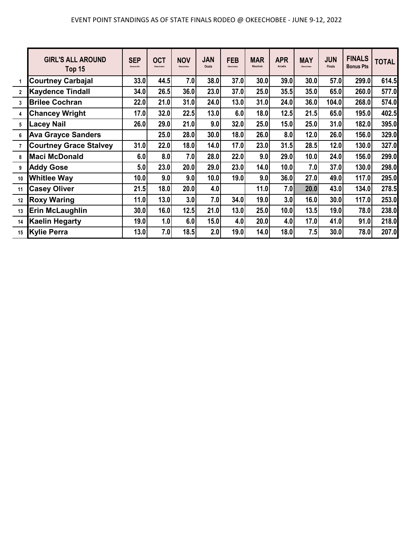|                         | <b>GIRL'S ALL AROUND</b><br>Top 15 | <b>SEP</b><br>Kenansville | <b>OCT</b><br>Okeechobee | <b>NOV</b><br>Okeechobee | <b>JAN</b><br>Ocala | <b>FEB</b><br>Okeechober | <b>MAR</b><br>Wauchula | <b>APR</b><br>Arcadia | <b>MAY</b><br>Okeechobee | <b>JUN</b><br><b>Finals</b> | <b>FINALS</b><br><b>Bonus Pts</b> | <b>TOTAL</b> |
|-------------------------|------------------------------------|---------------------------|--------------------------|--------------------------|---------------------|--------------------------|------------------------|-----------------------|--------------------------|-----------------------------|-----------------------------------|--------------|
|                         | <b>Courtney Carbajal</b>           | 33.0                      | 44.5                     | 7.0                      | 38.0                | 37.0                     | 30.0                   | 39.0                  | 30.0                     | 57.0                        | 299.0                             | 614.5        |
| $\overline{\mathbf{2}}$ | <b>Kaydence Tindall</b>            | 34.0                      | 26.5                     | 36.0                     | 23.0                | 37.0                     | 25.0                   | 35.5                  | 35.0                     | 65.0                        | 260.0                             | 577.0        |
| $\overline{3}$          | <b>Brilee Cochran</b>              | 22.0                      | 21.0                     | 31.0                     | 24.0                | 13.0                     | 31.0                   | 24.0                  | 36.0                     | 104.0                       | 268.0                             | 574.0        |
| $\overline{4}$          | <b>Chancey Wright</b>              | 17.0                      | 32.0                     | 22.5                     | 13.0                | 6.0                      | 18.0                   | 12.5                  | 21.5                     | 65.0                        | 195.0                             | 402.5        |
| 5                       | <b>Lacey Nail</b>                  | 26.0                      | 29.0                     | 21.0                     | 9.0                 | 32.0                     | 25.0                   | 15.0                  | 25.0                     | 31.0                        | 182.0                             | 395.0        |
| 6                       | <b>Ava Grayce Sanders</b>          |                           | 25.0                     | 28.0                     | 30.0                | 18.0                     | 26.0                   | 8.0                   | 12.0                     | 26.0                        | 156.0                             | 329.0        |
| $\overline{7}$          | <b>Courtney Grace Stalvey</b>      | 31.0                      | 22.0                     | 18.0                     | 14.0                | 17.0                     | 23.0                   | 31.5                  | 28.5                     | 12.0                        | 130.0                             | 327.0        |
| 8                       | <b>Maci McDonald</b>               | 6.0                       | 8.0                      | 7.0                      | 28.0                | 22.0                     | 9.0                    | 29.0                  | 10.0                     | 24.0                        | 156.0                             | 299.0        |
| 9                       | <b>Addy Gose</b>                   | 5.0                       | 23.0                     | 20.0                     | 29.0                | 23.0                     | 14.0                   | 10.0                  | 7.0                      | 37.0                        | 130.0                             | 298.0        |
| 10                      | <b>Whitlee Way</b>                 | 10.0                      | 9.0                      | 9.0                      | 10.0                | 19.0                     | 9.0                    | 36.0                  | 27.0                     | 49.0                        | 117.0                             | 295.0        |
| 11                      | <b>Casey Oliver</b>                | 21.5                      | 18.0                     | 20.0                     | 4.0                 |                          | 11.0                   | 7.0                   | 20.0                     | 43.0                        | 134.0                             | 278.5        |
| 12                      | <b>Roxy Waring</b>                 | 11.0                      | 13.0                     | 3.0                      | 7.0                 | 34.0                     | 19.0                   | 3.0                   | 16.0                     | 30.0                        | 117.0                             | 253.0        |
| 13                      | <b>Erin McLaughlin</b>             | 30.0                      | 16.0                     | 12.5                     | 21.0                | 13.0                     | 25.0                   | 10.0                  | 13.5                     | 19.0                        | 78.0                              | 238.0        |
| 14                      | <b>Kaelin Hegarty</b>              | 19.0                      | 1.0                      | 6.0                      | 15.0                | 4.0                      | 20.0                   | 4.0                   | 17.0                     | 41.0                        | 91.0                              | 218.0        |
| 15                      | <b>Kylie Perra</b>                 | 13.0                      | 7.0                      | 18.5                     | 2.0                 | 19.0                     | 14.0                   | 18.0                  | 7.5                      | 30.0                        | 78.0                              | 207.0        |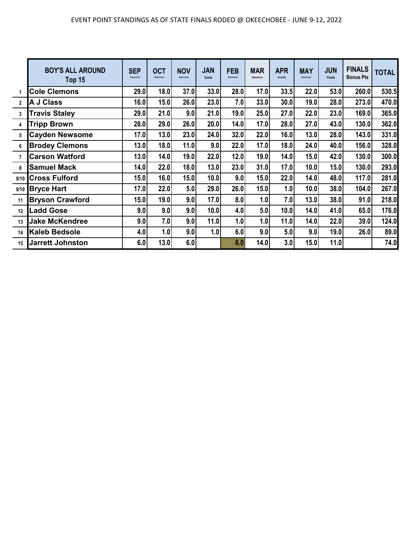|                | <b>BOY'S ALL AROUND</b><br>Top 15 | <b>SEP</b><br>Kenansville | <b>OCT</b><br>Okeechobee | <b>NOV</b><br>Okeechobee | <b>JAN</b><br>Ocala | <b>FEB</b><br>Okeechobee | <b>MAR</b><br>Wauchula | <b>APR</b><br>Arcadia | <b>MAY</b><br>Okeechobee | <b>JUN</b><br><b>Finals</b> | <b>FINALS</b><br><b>Bonus Pts</b> | <b>TOTAL</b> |
|----------------|-----------------------------------|---------------------------|--------------------------|--------------------------|---------------------|--------------------------|------------------------|-----------------------|--------------------------|-----------------------------|-----------------------------------|--------------|
|                | <b>Cole Clemons</b>               | 29.0                      | 18.0                     | 37.0                     | 33.0                | 28.0                     | 17.0                   | 33.5                  | 22.0                     | 53.0                        | 260.0                             | 530.5        |
| $\overline{2}$ | <b>A J Class</b>                  | 16.0                      | 15.0                     | 26.0                     | 23.0                | 7.0                      | 33.0                   | 30.0                  | 19.0                     | 28.0                        | 273.0                             | 470.0        |
| 3              | <b>Travis Staley</b>              | 29.0                      | 21.0                     | 9.0                      | 21.0                | 19.0                     | 25.0                   | 27.0                  | 22.0                     | 23.0                        | 169.0                             | 365.0        |
| $\overline{4}$ | <b>Tripp Brown</b>                | 28.0                      | 29.0                     | 26.0                     | 20.0                | 14.0                     | 17.0                   | 28.0                  | 27.0                     | 43.0                        | 130.0                             | 362.0        |
| 5              | <b>Cayden Newsome</b>             | 17.0                      | 13.0                     | 23.0                     | 24.0                | 32.0                     | 22.0                   | 16.0                  | 13.0                     | 28.0                        | 143.0                             | 331.0        |
| 6              | <b>Brodey Clemons</b>             | 13.0                      | 18.0                     | 11.0                     | 9.0                 | 22.0                     | 17.0                   | 18.0                  | 24.0                     | 40.0                        | 156.0                             | 328.0        |
| $\overline{7}$ | <b>Carson Watford</b>             | 13.0                      | 14.0                     | 19.0                     | 22.0                | 12.0                     | 19.0                   | 14.0                  | 15.0                     | 42.0                        | 130.0                             | 300.0        |
| 8              | <b>Samuel Mack</b>                | 14.0                      | 22.0                     | 18.0                     | 13.0                | 23.0                     | 31.0                   | 17.0                  | 10.0                     | 15.0                        | 130.0                             | 293.0        |
| 9/10           | <b>Cross Fulford</b>              | 15.0                      | 16.0                     | 15.0                     | 10.0                | 9.0                      | 15.0                   | 22.0                  | 14.0                     | 48.0                        | 117.0                             | 281.0        |
| 9/10           | <b>Bryce Hart</b>                 | 17.0                      | 22.0                     | 5.0                      | 29.0                | 26.0                     | 15.0                   | 1.0                   | 10.0                     | 38.0                        | 104.0                             | 267.0        |
| 11             | <b>Bryson Crawford</b>            | 15.0                      | 19.0                     | 9.0                      | 17.0                | 8.0                      | 1.0                    | 7.0                   | 13.0                     | 38.0                        | 91.0                              | 218.0        |
| 12             | <b>Ladd Gose</b>                  | 9.0                       | 9.0                      | 9.0                      | 10.0                | 4.0                      | 5.0                    | 10.0                  | 14.0                     | 41.0                        | 65.0                              | 176.0        |
| 13             | <b>Jake McKendree</b>             | 9.0                       | 7.0                      | 9.0                      | 11.0                | 1.0                      | 1.0                    | 11.0                  | 14.0                     | 22.0                        | 39.0                              | 124.0        |
| 14             | <b>Kaleb Bedsole</b>              | 4.0                       | 1.0                      | 9.0                      | 1.0                 | 6.0                      | 9.0                    | 5.0                   | 9.0                      | 19.0                        | 26.0                              | 89.0         |
| 15             | <b>Jarrett Johnston</b>           | 6.0                       | 13.0                     | 6.0                      |                     | 6.0                      | 14.0                   | 3.0                   | 15.0                     | 11.0                        |                                   | 74.0         |